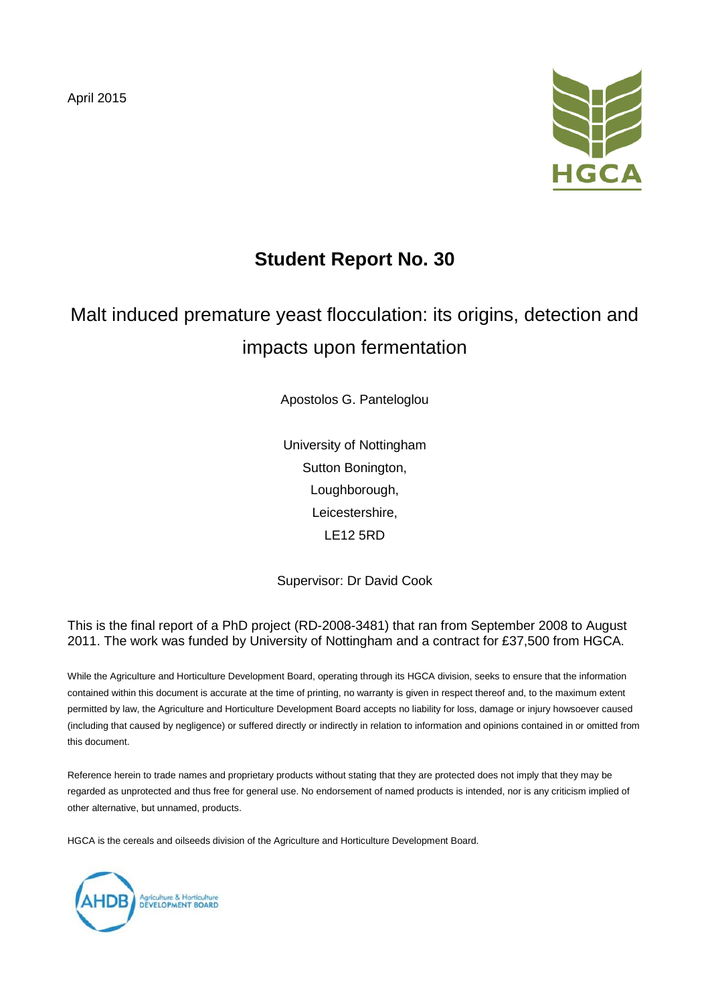April 2015



## **Student Report No. 30**

# Malt induced premature yeast flocculation: its origins, detection and impacts upon fermentation

Apostolos G. Panteloglou

University of Nottingham Sutton Bonington, Loughborough, Leicestershire, LE12 5RD

Supervisor: Dr David Cook

This is the final report of a PhD project (RD-2008-3481) that ran from September 2008 to August 2011. The work was funded by University of Nottingham and a contract for £37,500 from HGCA.

While the Agriculture and Horticulture Development Board, operating through its HGCA division, seeks to ensure that the information contained within this document is accurate at the time of printing, no warranty is given in respect thereof and, to the maximum extent permitted by law, the Agriculture and Horticulture Development Board accepts no liability for loss, damage or injury howsoever caused (including that caused by negligence) or suffered directly or indirectly in relation to information and opinions contained in or omitted from this document.

Reference herein to trade names and proprietary products without stating that they are protected does not imply that they may be regarded as unprotected and thus free for general use. No endorsement of named products is intended, nor is any criticism implied of other alternative, but unnamed, products.

HGCA is the cereals and oilseeds division of the Agriculture and Horticulture Development Board.

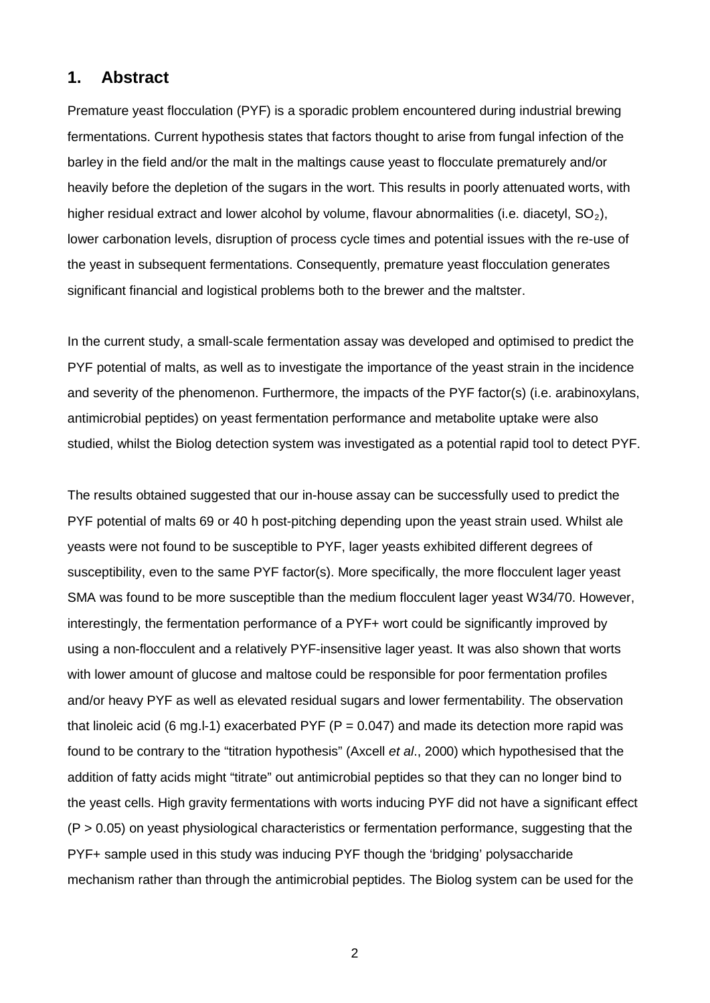#### **1. Abstract**

Premature yeast flocculation (PYF) is a sporadic problem encountered during industrial brewing fermentations. Current hypothesis states that factors thought to arise from fungal infection of the barley in the field and/or the malt in the maltings cause yeast to flocculate prematurely and/or heavily before the depletion of the sugars in the wort. This results in poorly attenuated worts, with higher residual extract and lower alcohol by volume, flavour abnormalities (i.e. diacetyl,  $SO_2$ ), lower carbonation levels, disruption of process cycle times and potential issues with the re-use of the yeast in subsequent fermentations. Consequently, premature yeast flocculation generates significant financial and logistical problems both to the brewer and the maltster.

In the current study, a small-scale fermentation assay was developed and optimised to predict the PYF potential of malts, as well as to investigate the importance of the yeast strain in the incidence and severity of the phenomenon. Furthermore, the impacts of the PYF factor(s) (i.e. arabinoxylans, antimicrobial peptides) on yeast fermentation performance and metabolite uptake were also studied, whilst the Biolog detection system was investigated as a potential rapid tool to detect PYF.

The results obtained suggested that our in-house assay can be successfully used to predict the PYF potential of malts 69 or 40 h post-pitching depending upon the yeast strain used. Whilst ale yeasts were not found to be susceptible to PYF, lager yeasts exhibited different degrees of susceptibility, even to the same PYF factor(s). More specifically, the more flocculent lager yeast SMA was found to be more susceptible than the medium flocculent lager yeast W34/70. However, interestingly, the fermentation performance of a PYF+ wort could be significantly improved by using a non-flocculent and a relatively PYF-insensitive lager yeast. It was also shown that worts with lower amount of glucose and maltose could be responsible for poor fermentation profiles and/or heavy PYF as well as elevated residual sugars and lower fermentability. The observation that linoleic acid (6 mg. I-1) exacerbated PYF ( $P = 0.047$ ) and made its detection more rapid was found to be contrary to the "titration hypothesis" (Axcell *et al*., 2000) which hypothesised that the addition of fatty acids might "titrate" out antimicrobial peptides so that they can no longer bind to the yeast cells. High gravity fermentations with worts inducing PYF did not have a significant effect  $(P > 0.05)$  on yeast physiological characteristics or fermentation performance, suggesting that the PYF+ sample used in this study was inducing PYF though the 'bridging' polysaccharide mechanism rather than through the antimicrobial peptides. The Biolog system can be used for the

2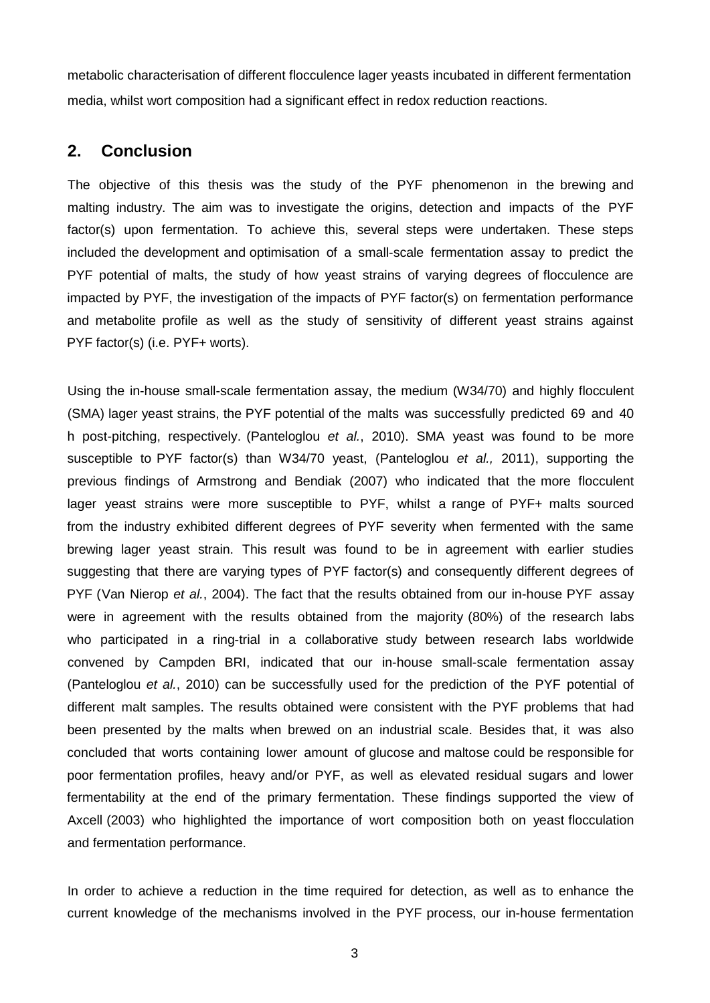metabolic characterisation of different flocculence lager yeasts incubated in different fermentation media, whilst wort composition had a significant effect in redox reduction reactions.

#### **2. Conclusion**

The objective of this thesis was the study of the PYF phenomenon in the brewing and malting industry. The aim was to investigate the origins, detection and impacts of the PYF factor(s) upon fermentation. To achieve this, several steps were undertaken. These steps included the development and optimisation of a small-scale fermentation assay to predict the PYF potential of malts, the study of how yeast strains of varying degrees of flocculence are impacted by PYF, the investigation of the impacts of PYF factor(s) on fermentation performance and metabolite profile as well as the study of sensitivity of different yeast strains against PYF factor(s) (i.e. PYF+ worts).

Using the in-house small-scale fermentation assay, the medium (W34/70) and highly flocculent (SMA) lager yeast strains, the PYF potential of the malts was successfully predicted 69 and 40 h post-pitching, respectively. (Panteloglou *et al.*, 2010). SMA yeast was found to be more susceptible to PYF factor(s) than W34/70 yeast, (Panteloglou *et al.,* 2011), supporting the previous findings of Armstrong and Bendiak (2007) who indicated that the more flocculent lager yeast strains were more susceptible to PYF, whilst a range of PYF+ malts sourced from the industry exhibited different degrees of PYF severity when fermented with the same brewing lager yeast strain. This result was found to be in agreement with earlier studies suggesting that there are varying types of PYF factor(s) and consequently different degrees of PYF (Van Nierop *et al.*, 2004). The fact that the results obtained from our in-house PYF assay were in agreement with the results obtained from the majority (80%) of the research labs who participated in a ring-trial in a collaborative study between research labs worldwide convened by Campden BRI, indicated that our in-house small-scale fermentation assay (Panteloglou *et al.*, 2010) can be successfully used for the prediction of the PYF potential of different malt samples. The results obtained were consistent with the PYF problems that had been presented by the malts when brewed on an industrial scale. Besides that, it was also concluded that worts containing lower amount of glucose and maltose could be responsible for poor fermentation profiles, heavy and/or PYF, as well as elevated residual sugars and lower fermentability at the end of the primary fermentation. These findings supported the view of Axcell (2003) who highlighted the importance of wort composition both on yeast flocculation and fermentation performance.

In order to achieve a reduction in the time required for detection, as well as to enhance the current knowledge of the mechanisms involved in the PYF process, our in-house fermentation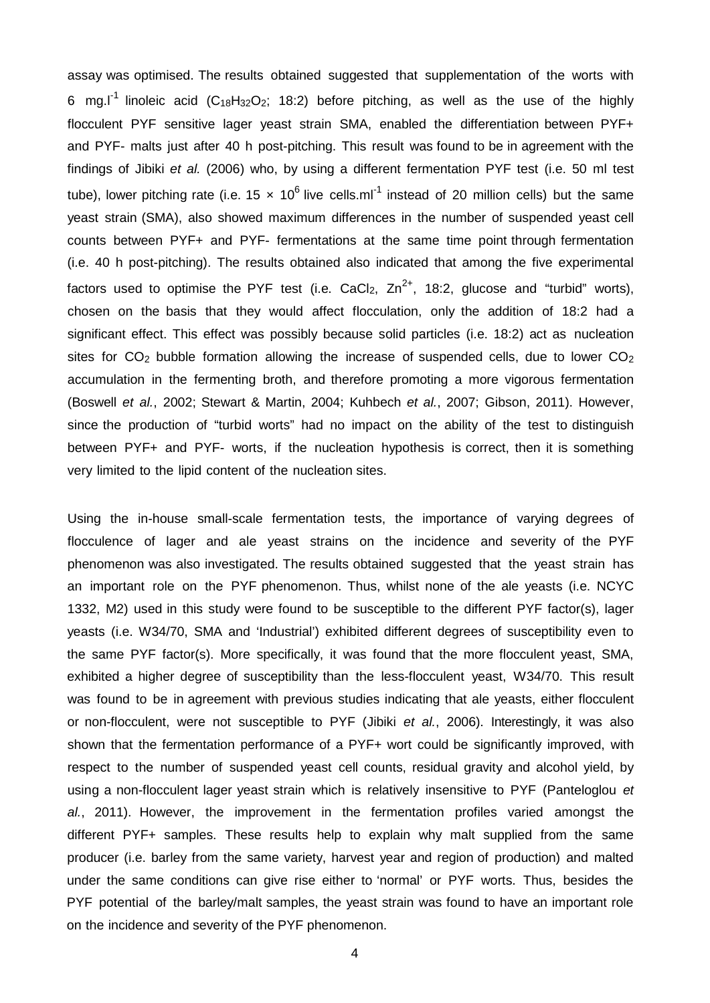assay was optimised. The results obtained suggested that supplementation of the worts with 6 mg.I<sup>-1</sup> linoleic acid (C<sub>18</sub>H<sub>32</sub>O<sub>2</sub>; 18:2) before pitching, as well as the use of the highly flocculent PYF sensitive lager yeast strain SMA, enabled the differentiation between PYF+ and PYF- malts just after 40 h post-pitching. This result was found to be in agreement with the findings of Jibiki *et al.* (2006) who, by using a different fermentation PYF test (i.e. 50 ml test tube), lower pitching rate (i.e.  $15 \times 10^6$  live cells.ml<sup>-1</sup> instead of 20 million cells) but the same yeast strain (SMA), also showed maximum differences in the number of suspended yeast cell counts between PYF+ and PYF- fermentations at the same time point through fermentation (i.e. 40 h post-pitching). The results obtained also indicated that among the five experimental factors used to optimise the PYF test (i.e. CaCl<sub>2</sub>, Zn<sup>2+</sup>, 18:2, glucose and "turbid" worts), chosen on the basis that they would affect flocculation, only the addition of 18:2 had a significant effect. This effect was possibly because solid particles (i.e. 18:2) act as nucleation sites for  $CO<sub>2</sub>$  bubble formation allowing the increase of suspended cells, due to lower  $CO<sub>2</sub>$ accumulation in the fermenting broth, and therefore promoting a more vigorous fermentation (Boswell *et al.*, 2002; Stewart & Martin, 2004; Kuhbech *et al.*, 2007; Gibson, 2011). However, since the production of "turbid worts" had no impact on the ability of the test to distinguish between PYF+ and PYF- worts, if the nucleation hypothesis is correct, then it is something very limited to the lipid content of the nucleation sites.

Using the in-house small-scale fermentation tests, the importance of varying degrees of flocculence of lager and ale yeast strains on the incidence and severity of the PYF phenomenon was also investigated. The results obtained suggested that the yeast strain has an important role on the PYF phenomenon. Thus, whilst none of the ale yeasts (i.e. NCYC 1332, M2) used in this study were found to be susceptible to the different PYF factor(s), lager yeasts (i.e. W34/70, SMA and 'Industrial') exhibited different degrees of susceptibility even to the same PYF factor(s). More specifically, it was found that the more flocculent yeast, SMA, exhibited a higher degree of susceptibility than the less-flocculent yeast, W34/70. This result was found to be in agreement with previous studies indicating that ale yeasts, either flocculent or non-flocculent, were not susceptible to PYF (Jibiki *et al.*, 2006). Interestingly, it was also shown that the fermentation performance of a PYF+ wort could be significantly improved, with respect to the number of suspended yeast cell counts, residual gravity and alcohol yield, by using a non-flocculent lager yeast strain which is relatively insensitive to PYF (Panteloglou *et al.*, 2011). However, the improvement in the fermentation profiles varied amongst the different PYF+ samples. These results help to explain why malt supplied from the same producer (i.e. barley from the same variety, harvest year and region of production) and malted under the same conditions can give rise either to 'normal' or PYF worts. Thus, besides the PYF potential of the barley/malt samples, the yeast strain was found to have an important role on the incidence and severity of the PYF phenomenon.

4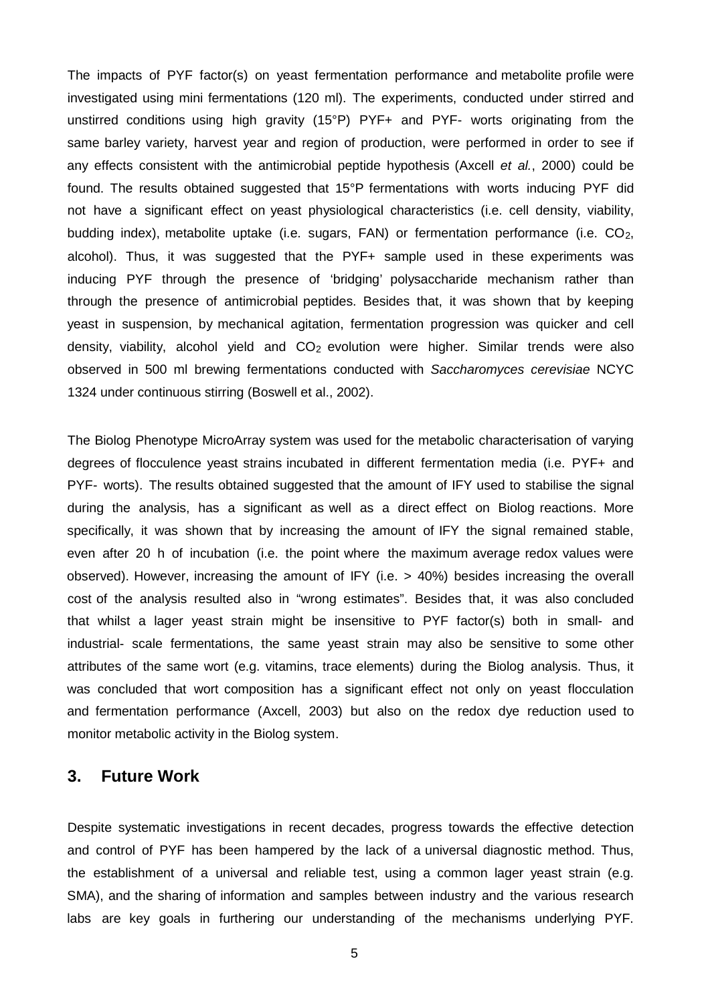The impacts of PYF factor(s) on yeast fermentation performance and metabolite profile were investigated using mini fermentations (120 ml). The experiments, conducted under stirred and unstirred conditions using high gravity (15°P) PYF+ and PYF- worts originating from the same barley variety, harvest year and region of production, were performed in order to see if any effects consistent with the antimicrobial peptide hypothesis (Axcell *et al.*, 2000) could be found. The results obtained suggested that 15°P fermentations with worts inducing PYF did not have a significant effect on yeast physiological characteristics (i.e. cell density, viability, budding index), metabolite uptake (i.e. sugars, FAN) or fermentation performance (i.e. CO<sub>2</sub>, alcohol). Thus, it was suggested that the PYF+ sample used in these experiments was inducing PYF through the presence of 'bridging' polysaccharide mechanism rather than through the presence of antimicrobial peptides. Besides that, it was shown that by keeping yeast in suspension, by mechanical agitation, fermentation progression was quicker and cell density, viability, alcohol yield and CO<sub>2</sub> evolution were higher. Similar trends were also observed in 500 ml brewing fermentations conducted with *Saccharomyces cerevisiae* NCYC 1324 under continuous stirring (Boswell et al., 2002).

The Biolog Phenotype MicroArray system was used for the metabolic characterisation of varying degrees of flocculence yeast strains incubated in different fermentation media (i.e. PYF+ and PYF- worts). The results obtained suggested that the amount of IFY used to stabilise the signal during the analysis, has a significant as well as a direct effect on Biolog reactions. More specifically, it was shown that by increasing the amount of IFY the signal remained stable, even after 20 h of incubation (i.e. the point where the maximum average redox values were observed). However, increasing the amount of IFY (i.e. > 40%) besides increasing the overall cost of the analysis resulted also in "wrong estimates". Besides that, it was also concluded that whilst a lager yeast strain might be insensitive to PYF factor(s) both in small- and industrial- scale fermentations, the same yeast strain may also be sensitive to some other attributes of the same wort (e.g. vitamins, trace elements) during the Biolog analysis. Thus, it was concluded that wort composition has a significant effect not only on yeast flocculation and fermentation performance (Axcell, 2003) but also on the redox dye reduction used to monitor metabolic activity in the Biolog system.

#### **3. Future Work**

Despite systematic investigations in recent decades, progress towards the effective detection and control of PYF has been hampered by the lack of a universal diagnostic method. Thus, the establishment of a universal and reliable test, using a common lager yeast strain (e.g. SMA), and the sharing of information and samples between industry and the various research labs are key goals in furthering our understanding of the mechanisms underlying PYF.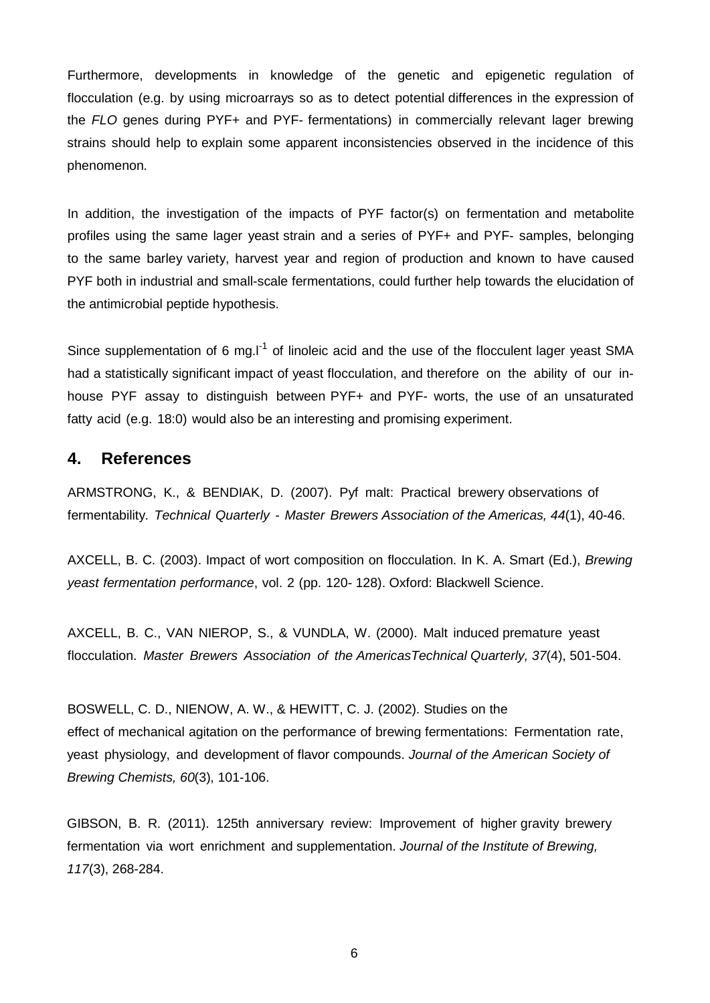Furthermore, developments in knowledge of the genetic and epigenetic regulation of flocculation (e.g. by using microarrays so as to detect potential differences in the expression of the *FLO* genes during PYF+ and PYF- fermentations) in commercially relevant lager brewing strains should help to explain some apparent inconsistencies observed in the incidence of this phenomenon.

In addition, the investigation of the impacts of PYF factor(s) on fermentation and metabolite profiles using the same lager yeast strain and a series of PYF+ and PYF- samples, belonging to the same barley variety, harvest year and region of production and known to have caused PYF both in industrial and small-scale fermentations, could further help towards the elucidation of the antimicrobial peptide hypothesis.

Since supplementation of 6 mg.I<sup>-1</sup> of linoleic acid and the use of the flocculent lager yeast SMA had a statistically significant impact of yeast flocculation, and therefore on the ability of our inhouse PYF assay to distinguish between PYF+ and PYF- worts, the use of an unsaturated fatty acid (e.g. 18:0) would also be an interesting and promising experiment.

### **4. References**

ARMSTRONG, K., & BENDIAK, D. (2007). Pyf malt: Practical brewery observations of fermentability. *Technical Quarterly - Master Brewers Association of the Americas, 44*(1), 40-46.

AXCELL, B. C. (2003). Impact of wort composition on flocculation. In K. A. Smart (Ed.), *Brewing yeast fermentation performance*, vol. 2 (pp. 120- 128). Oxford: Blackwell Science.

AXCELL, B. C., VAN NIEROP, S., & VUNDLA, W. (2000). Malt induced premature yeast flocculation. *Master Brewers Association of the AmericasTechnical Quarterly, 37*(4), 501-504.

BOSWELL, C. D., NIENOW, A. W., & HEWITT, C. J. (2002). Studies on the effect of mechanical agitation on the performance of brewing fermentations: Fermentation rate, yeast physiology, and development of flavor compounds. *Journal of the American Society of Brewing Chemists, 60*(3), 101-106.

GIBSON, B. R. (2011). 125th anniversary review: Improvement of higher gravity brewery fermentation via wort enrichment and supplementation. *Journal of the Institute of Brewing, 117*(3), 268-284.